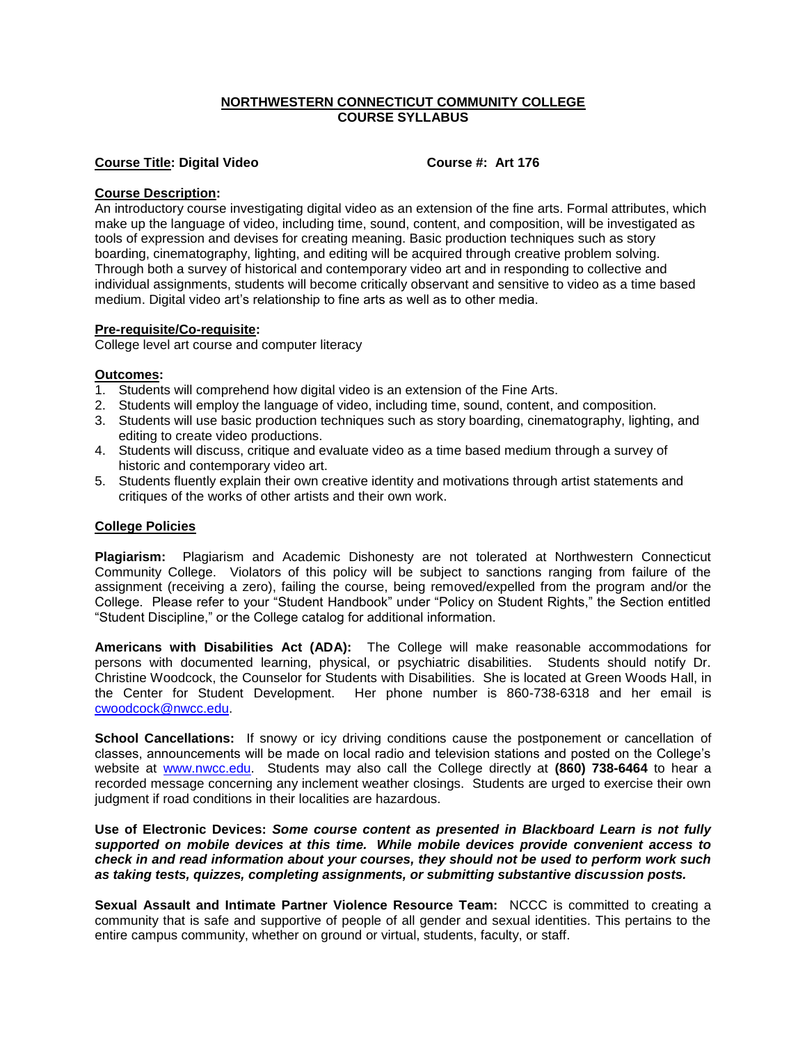# **NORTHWESTERN CONNECTICUT COMMUNITY COLLEGE COURSE SYLLABUS**

## **Course Title: Digital Video Course #: Art 176**

### **Course Description:**

An introductory course investigating digital video as an extension of the fine arts. Formal attributes, which make up the language of video, including time, sound, content, and composition, will be investigated as tools of expression and devises for creating meaning. Basic production techniques such as story boarding, cinematography, lighting, and editing will be acquired through creative problem solving. Through both a survey of historical and contemporary video art and in responding to collective and individual assignments, students will become critically observant and sensitive to video as a time based medium. Digital video art's relationship to fine arts as well as to other media.

#### **Pre-requisite/Co-requisite:**

College level art course and computer literacy

#### **Outcomes:**

- 1. Students will comprehend how digital video is an extension of the Fine Arts.
- 2. Students will employ the language of video, including time, sound, content, and composition.
- 3. Students will use basic production techniques such as story boarding, cinematography, lighting, and editing to create video productions.
- 4. Students will discuss, critique and evaluate video as a time based medium through a survey of historic and contemporary video art.
- 5. Students fluently explain their own creative identity and motivations through artist statements and critiques of the works of other artists and their own work.

## **College Policies**

**Plagiarism:** Plagiarism and Academic Dishonesty are not tolerated at Northwestern Connecticut Community College. Violators of this policy will be subject to sanctions ranging from failure of the assignment (receiving a zero), failing the course, being removed/expelled from the program and/or the College. Please refer to your "Student Handbook" under "Policy on Student Rights," the Section entitled "Student Discipline," or the College catalog for additional information.

**Americans with Disabilities Act (ADA):** The College will make reasonable accommodations for persons with documented learning, physical, or psychiatric disabilities. Students should notify Dr. Christine Woodcock, the Counselor for Students with Disabilities. She is located at Green Woods Hall, in the Center for Student Development. Her phone number is 860-738-6318 and her email is [cwoodcock@nwcc.edu.](mailto:cwoodcock@nwcc.edu)

**School Cancellations:** If snowy or icy driving conditions cause the postponement or cancellation of classes, announcements will be made on local radio and television stations and posted on the College's website at [www.nwcc.edu.](http://www.nwcc.edu/) Students may also call the College directly at **(860) 738-6464** to hear a recorded message concerning any inclement weather closings. Students are urged to exercise their own judgment if road conditions in their localities are hazardous.

**Use of Electronic Devices:** *Some course content as presented in Blackboard Learn is not fully supported on mobile devices at this time. While mobile devices provide convenient access to check in and read information about your courses, they should not be used to perform work such as taking tests, quizzes, completing assignments, or submitting substantive discussion posts.*

**Sexual Assault and Intimate Partner Violence Resource Team:** NCCC is committed to creating a community that is safe and supportive of people of all gender and sexual identities. This pertains to the entire campus community, whether on ground or virtual, students, faculty, or staff.